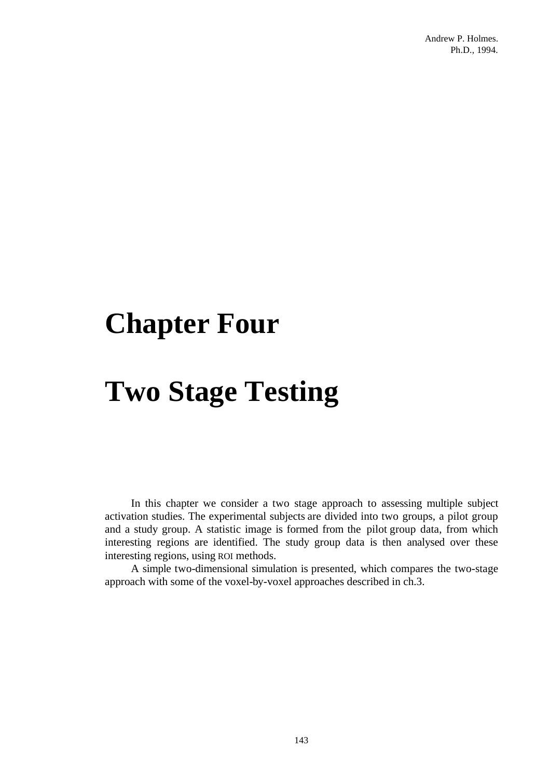# **Chapter Four**

# **Two Stage Testing**

In this chapter we consider a two stage approach to assessing multiple subject activation studies. The experimental subjects are divided into two groups, a pilot group and a study group. A statistic image is formed from the pilot group data, from which interesting regions are identified. The study group data is then analysed over these interesting regions, using ROI methods.

A simple two-dimensional simulation is presented, which compares the two-stage approach with some of the voxel-by-voxel approaches described in ch.3.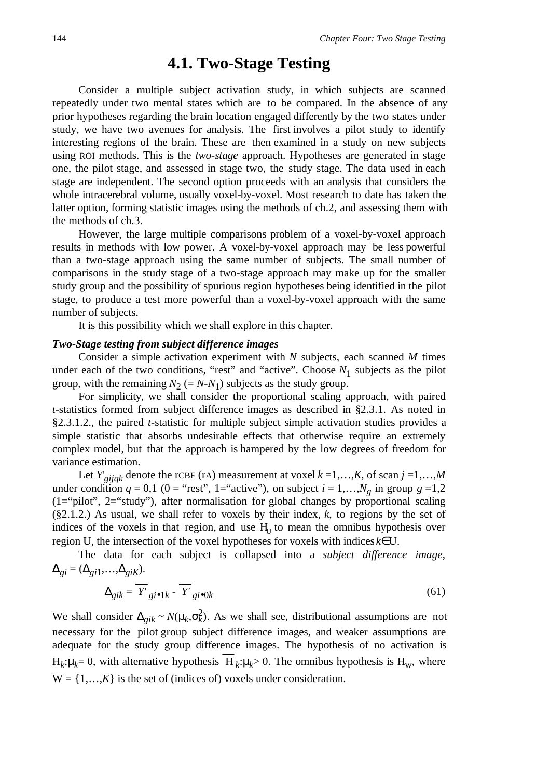# **4.1. Two-Stage Testing**

Consider a multiple subject activation study, in which subjects are scanned repeatedly under two mental states which are to be compared. In the absence of any prior hypotheses regarding the brain location engaged differently by the two states under study, we have two avenues for analysis. The first involves a pilot study to identify interesting regions of the brain. These are then examined in a study on new subjects using ROI methods. This is the *two-stage* approach. Hypotheses are generated in stage one, the pilot stage, and assessed in stage two, the study stage. The data used in each stage are independent. The second option proceeds with an analysis that considers the whole intracerebral volume, usually voxel-by-voxel. Most research to date has taken the latter option, forming statistic images using the methods of ch.2, and assessing them with the methods of ch.3.

However, the large multiple comparisons problem of a voxel-by-voxel approach results in methods with low power. A voxel-by-voxel approach may be less powerful than a two-stage approach using the same number of subjects. The small number of comparisons in the study stage of a two-stage approach may make up for the smaller study group and the possibility of spurious region hypotheses being identified in the pilot stage, to produce a test more powerful than a voxel-by-voxel approach with the same number of subjects.

It is this possibility which we shall explore in this chapter.

#### *Two-Stage testing from subject difference images*

Consider a simple activation experiment with *N* subjects, each scanned *M* times under each of the two conditions, "rest" and "active". Choose  $N_1$  subjects as the pilot group, with the remaining  $N_2 (= N - N_1)$  subjects as the study group.

For simplicity, we shall consider the proportional scaling approach, with paired *t*-statistics formed from subject difference images as described in §2.3.1. As noted in §2.3.1.2., the paired *t*-statistic for multiple subject simple activation studies provides a simple statistic that absorbs undesirable effects that otherwise require an extremely complex model, but that the approach is hampered by the low degrees of freedom for variance estimation.

Let  $Y_{gijqk}$  denote the rCBF (rA) measurement at voxel  $k = 1,...,K$ , of scan  $j = 1,...,M$ under condition  $q = 0,1$  ( $0 =$  "rest", 1= "active"), on subject  $i = 1,...,N<sub>g</sub>$  in group  $g = 1,2$ (1="pilot", 2="study"), after normalisation for global changes by proportional scaling (§2.1.2.) As usual, we shall refer to voxels by their index, *k*, to regions by the set of indices of the voxels in that region, and use  $H<sub>U</sub>$  to mean the omnibus hypothesis over region U, the intersection of the voxel hypotheses for voxels with indices *k*∈U.

The data for each subject is collapsed into a *subject difference image*,  $\Delta_{gi} = (\Delta_{gi1}, \ldots, \Delta_{giK}).$ 

$$
\Delta_{gik} = \overline{Y'}_{gi \bullet 1k} - \overline{Y'}_{gi \bullet 0k} \tag{61}
$$

We shall consider  $\Delta_{gik} \sim N(\mu_k, \sigma_k^2)$ . As we shall see, distributional assumptions are not necessary for the pilot group subject difference images, and weaker assumptions are adequate for the study group difference images. The hypothesis of no activation is  $H_k: \mu_k = 0$ , with alternative hypothesis  $H_k: \mu_k > 0$ . The omnibus hypothesis is  $H_w$ , where  $W = \{1, \ldots, K\}$  is the set of (indices of) voxels under consideration.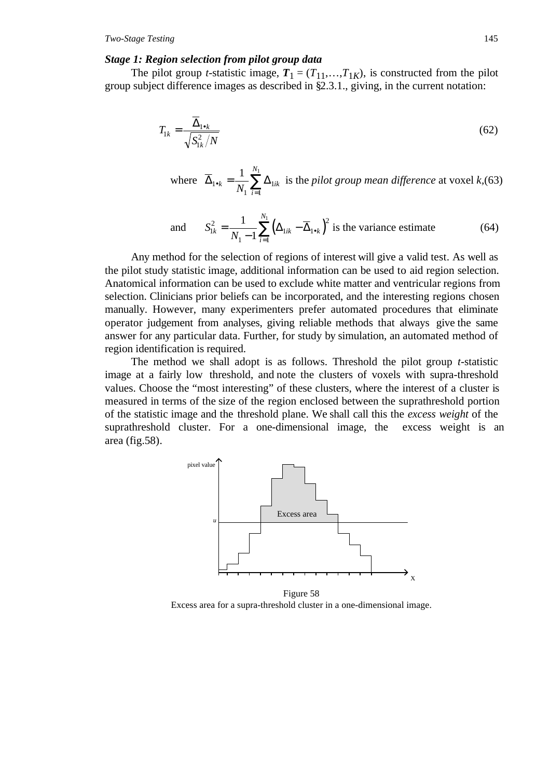#### *Stage 1: Region selection from pilot group data*

The pilot group *t*-statistic image,  $T_1 = (T_{11},...,T_{1K})$ , is constructed from the pilot group subject difference images as described in §2.3.1., giving, in the current notation:

$$
T_{1k} = \frac{\overline{\Delta}_{1\bullet k}}{\sqrt{S_{1k}^2/N}}
$$
(62)

where  $\Delta_{1 \bullet k} = \frac{1}{M} \sum \Delta$ 1 1 1  $1 \frac{N_1}{N_1}$ •  $_{k} = \frac{1}{N_1} \sum_{i=1}^N \Delta_{1ik}$ *N N* is the *pilot group mean difference* at voxel *k,*(63)

and 
$$
S_{1k}^2 = \frac{1}{N_1 - 1} \sum_{i=1}^{N_1} \left( \Delta_{1ik} - \overline{\Delta}_{1\bullet k} \right)^2
$$
 is the variance estimate (64)

Any method for the selection of regions of interest will give a valid test. As well as the pilot study statistic image, additional information can be used to aid region selection. Anatomical information can be used to exclude white matter and ventricular regions from selection. Clinicians prior beliefs can be incorporated, and the interesting regions chosen manually. However, many experimenters prefer automated procedures that eliminate operator judgement from analyses, giving reliable methods that always give the same answer for any particular data. Further, for study by simulation, an automated method of region identification is required.

The method we shall adopt is as follows. Threshold the pilot group *t*-statistic image at a fairly low threshold, and note the clusters of voxels with supra-threshold values. Choose the "most interesting" of these clusters, where the interest of a cluster is measured in terms of the size of the region enclosed between the suprathreshold portion of the statistic image and the threshold plane. We shall call this the *excess weight* of the suprathreshold cluster. For a one-dimensional image, the excess weight is an area (fig.58).



Figure 58 Excess area for a supra-threshold cluster in a one-dimensional image.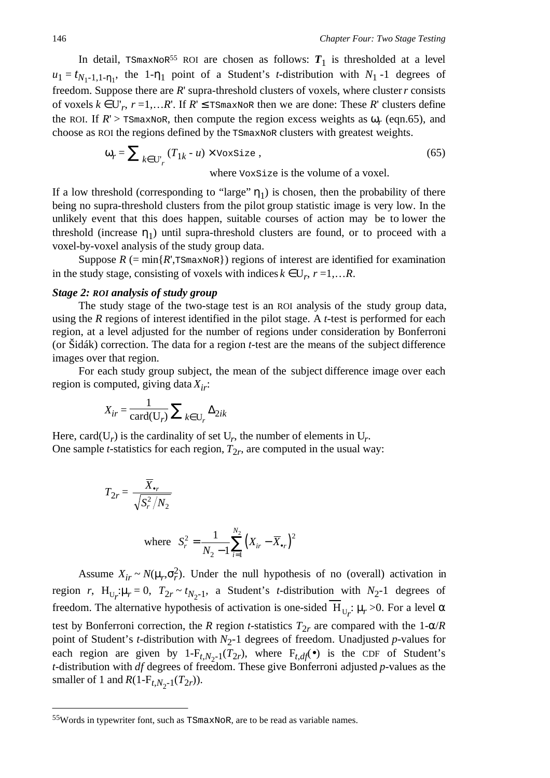In detail, TSmaxNoR<sup>55</sup> ROI are chosen as follows:  $T_1$  is thresholded at a level  $u_1 = t_{N_1-1,1-n_1}$ , the 1- $n_1$  point of a Student's *t*-distribution with  $N_1$ -1 degrees of freedom. Suppose there are *R*' supra-threshold clusters of voxels, where cluster *r* consists of voxels  $k ∈ U'_r$ ,  $r = 1,...R'$ . If  $R' ≤$  TSmaxNoR then we are done: These R' clusters define the ROI. If  $R'$  > TSmaxNoR, then compute the region excess weights as  $\omega_r$  (eqn.65), and choose as ROI the regions defined by the TSmaxNoR clusters with greatest weights.

$$
\omega_r = \sum_{k \in U_r} (T_{1k} - u) \times \text{VoxSize},\tag{65}
$$

where VoxSize is the volume of a voxel.

If a low threshold (corresponding to "large"  $\eta_1$ ) is chosen, then the probability of there being no supra-threshold clusters from the pilot group statistic image is very low. In the unlikely event that this does happen, suitable courses of action may be to lower the threshold (increase  $\eta_1$ ) until supra-threshold clusters are found, or to proceed with a voxel-by-voxel analysis of the study group data.

Suppose  $R$  (= min{ $R$ ', TSmaxNoR}) regions of interest are identified for examination in the study stage, consisting of voxels with indices  $k \in U_r$ ,  $r = 1,...R$ .

### *Stage 2: ROI analysis of study group*

The study stage of the two-stage test is an ROI analysis of the study group data, using the *R* regions of interest identified in the pilot stage. A *t*-test is performed for each region, at a level adjusted for the number of regions under consideration by Bonferroni (or Šidák) correction. The data for a region *t*-test are the means of the subject difference images over that region.

For each study group subject, the mean of the subject difference image over each region is computed, giving data *Xir*:

$$
X_{ir} = \frac{1}{\text{card}(\mathbf{U}_r)} \sum_{k \in \mathbf{U}_r} \Delta_{2ik}
$$

Here, card( $U_r$ ) is the cardinality of set  $U_r$ , the number of elements in  $U_r$ . One sample *t*-statistics for each region,  $T_{2r}$ , are computed in the usual way:

$$
T_{2r} = \frac{\overline{X}_{\bullet r}}{\sqrt{S_r^2 / N_2}}
$$
  
where  $S_r^2 = \frac{1}{N_2 - 1} \sum_{i=1}^{N_2} (X_{ir} - \overline{X}_{\bullet r})^2$ 

Assume  $X_{ir} \sim N(\mu_r, \sigma_r^2)$ . Under the null hypothesis of no (overall) activation in region *r*, H<sub>U<sub>*r*</sub></sub>: $\mu_r = 0$ ,  $T_{2r} \sim t_{N_2-1}$ , a Student's *t*-distribution with  $N_2$ -1 degrees of freedom. The alternative hypothesis of activation is one-sided  $H_{U_r}$ :  $\mu_r > 0$ . For a level α test by Bonferroni correction, the *R* region *t*-statistics  $T_{2r}$  are compared with the 1- $\alpha/R$ point of Student's *t*-distribution with  $N_2$ -1 degrees of freedom. Unadjusted *p*-values for each region are given by  $1-F_{t,N_2-1}(T_{2r})$ , where  $F_{t,df}(\bullet)$  is the CDF of Student's *t*-distribution with *df* degrees of freedom. These give Bonferroni adjusted *p*-values as the smaller of 1 and  $R(1-F_{t,N_2-1}(T_{2r}))$ .

 <sup>55</sup>Words in typewriter font, such as TSmaxNoR, are to be read as variable names.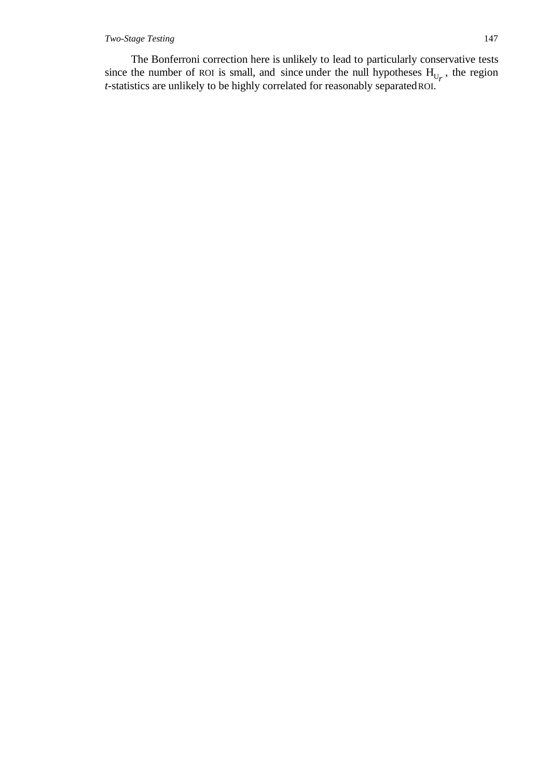### *Two-Stage Testing* 147

The Bonferroni correction here is unlikely to lead to particularly conservative tests since the number of ROI is small, and since under the null hypotheses  $H_{U_r}$ , the region *t*-statistics are unlikely to be highly correlated for reasonably separated ROI.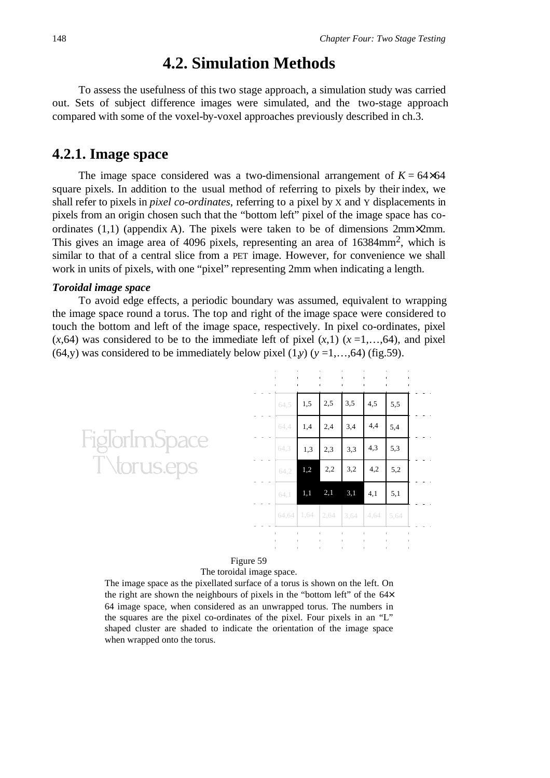# **4.2. Simulation Methods**

To assess the usefulness of this two stage approach, a simulation study was carried out. Sets of subject difference images were simulated, and the two-stage approach compared with some of the voxel-by-voxel approaches previously described in ch.3.

# **4.2.1. Image space**

The image space considered was a two-dimensional arrangement of  $K = 64 \times 64$ square pixels. In addition to the usual method of referring to pixels by their index, we shall refer to pixels in *pixel co-ordinates*, referring to a pixel by X and Y displacements in pixels from an origin chosen such that the "bottom left" pixel of the image space has coordinates (1,1) (appendix A). The pixels were taken to be of dimensions 2mm×2mm. This gives an image area of 4096 pixels, representing an area of 16384mm2, which is similar to that of a central slice from a PET image. However, for convenience we shall work in units of pixels, with one "pixel" representing 2mm when indicating a length.

#### *Toroidal image space*

To avoid edge effects, a periodic boundary was assumed, equivalent to wrapping the image space round a torus. The top and right of the image space were considered to touch the bottom and left of the image space, respectively. In pixel co-ordinates, pixel  $(x,64)$  was considered to be to the immediate left of pixel  $(x,1)$   $(x=1,...,64)$ , and pixel (64,y) was considered to be immediately below pixel  $(1,y)$  ( $y = 1,...,64$ ) (fig.59).



### Figure 59

The toroidal image space.

The image space as the pixellated surface of a torus is shown on the left. On the right are shown the neighbours of pixels in the "bottom left" of the 64× 64 image space, when considered as an unwrapped torus. The numbers in the squares are the pixel co-ordinates of the pixel. Four pixels in an "L" shaped cluster are shaded to indicate the orientation of the image space when wrapped onto the torus.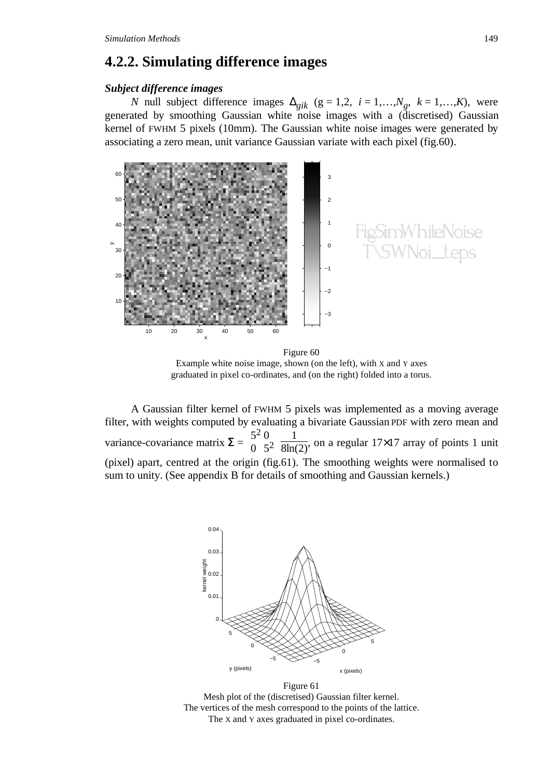# **4.2.2. Simulating difference images**

#### *Subject difference images*

*N* null subject difference images  $\Delta_{gik}$  (g = 1,2, *i* = 1,…, $N_g$ ,  $k = 1,...,K$ ), were generated by smoothing Gaussian white noise images with a (discretised) Gaussian kernel of FWHM 5 pixels (10mm). The Gaussian white noise images were generated by associating a zero mean, unit variance Gaussian variate with each pixel (fig.60).



Figure 60 Example white noise image, shown (on the left), with X and Y axes graduated in pixel co-ordinates, and (on the right) folded into a torus.

A Gaussian filter kernel of FWHM 5 pixels was implemented as a moving average filter, with weights computed by evaluating a bivariate Gaussian PDF with zero mean and variance-covariance matrix  $\Sigma = \left( \begin{array}{c} 1 \\ 1 \end{array} \right)$  $\binom{5^2}{0}$ 1  $\frac{1}{8\ln(2)}$ , on a regular 17×17 array of points 1 unit (pixel) apart, centred at the origin (fig.61). The smoothing weights were normalised to sum to unity. (See appendix B for details of smoothing and Gaussian kernels.)



Figure 61 Mesh plot of the (discretised) Gaussian filter kernel. The vertices of the mesh correspond to the points of the lattice. The X and Y axes graduated in pixel co-ordinates.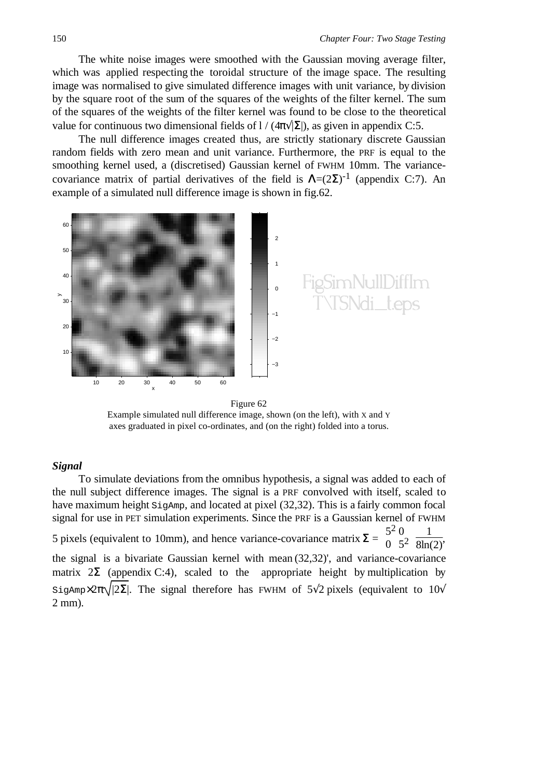The white noise images were smoothed with the Gaussian moving average filter, which was applied respecting the toroidal structure of the image space. The resulting image was normalised to give simulated difference images with unit variance, by division by the square root of the sum of the squares of the weights of the filter kernel. The sum of the squares of the weights of the filter kernel was found to be close to the theoretical value for continuous two dimensional fields of  $1/(4\pi\sqrt{|\Sigma|})$ , as given in appendix C:5.

The null difference images created thus, are strictly stationary discrete Gaussian random fields with zero mean and unit variance. Furthermore, the PRF is equal to the smoothing kernel used, a (discretised) Gaussian kernel of FWHM 10mm. The variancecovariance matrix of partial derivatives of the field is  $\Lambda = (2\Sigma)^{-1}$  (appendix C:7). An example of a simulated null difference image is shown in fig.62.



Example simulated null difference image, shown (on the left), with X and Y axes graduated in pixel co-ordinates, and (on the right) folded into a torus.

#### *Signal*

To simulate deviations from the omnibus hypothesis, a signal was added to each of the null subject difference images. The signal is a PRF convolved with itself, scaled to have maximum height  $\sin\theta$ , and located at pixel (32,32). This is a fairly common focal signal for use in PET simulation experiments. Since the PRF is a Gaussian kernel of FWHM 5 pixels (equivalent to 10mm), and hence variance-covariance matrix  $\Sigma = \left( \frac{1}{2} \right)$  $\binom{5^2}{0}$ 1  $\frac{1}{8\ln(2)}$ the signal is a bivariate Gaussian kernel with mean (32,32)', and variance-covariance matrix  $2\Sigma$  (appendix C:4), scaled to the appropriate height by multiplication by SigAmp×2 $\pi\sqrt{2\Sigma}$ . The signal therefore has FWHM of 5<sup> $\sqrt{2}$ </sup> pixels (equivalent to 10 $\sqrt{2}$ ) 2 mm).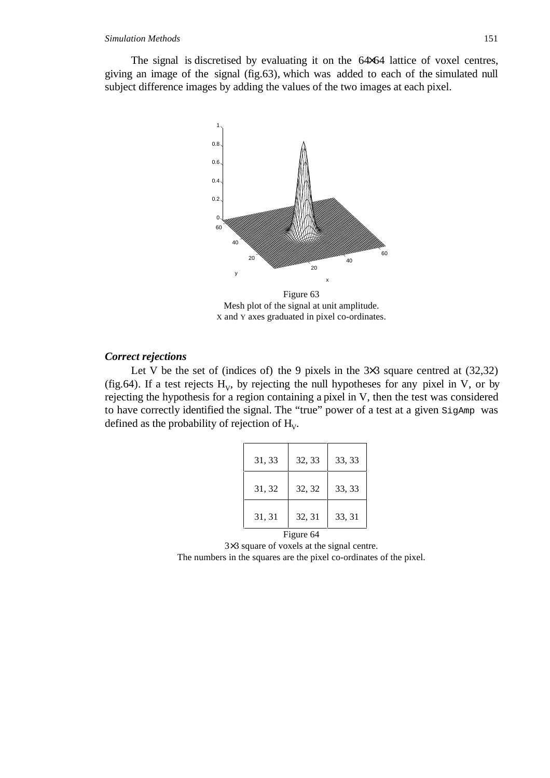The signal is discretised by evaluating it on the 64×64 lattice of voxel centres, giving an image of the signal (fig.63), which was added to each of the simulated null subject difference images by adding the values of the two images at each pixel.



Figure 63 Mesh plot of the signal at unit amplitude. X and Y axes graduated in pixel co-ordinates.

#### *Correct rejections*

Let V be the set of (indices of) the 9 pixels in the  $3\times3$  square centred at (32,32) (fig.64). If a test rejects  $H_v$ , by rejecting the null hypotheses for any pixel in V, or by rejecting the hypothesis for a region containing a pixel in V, then the test was considered to have correctly identified the signal. The "true" power of a test at a given SigAmp was defined as the probability of rejection of  $H_v$ .

| 32, 33 | 33, 33 |
|--------|--------|
| 32, 32 | 33, 33 |
| 32, 31 | 33, 31 |
|        |        |

Figure 64

3×3 square of voxels at the signal centre.

The numbers in the squares are the pixel co-ordinates of the pixel.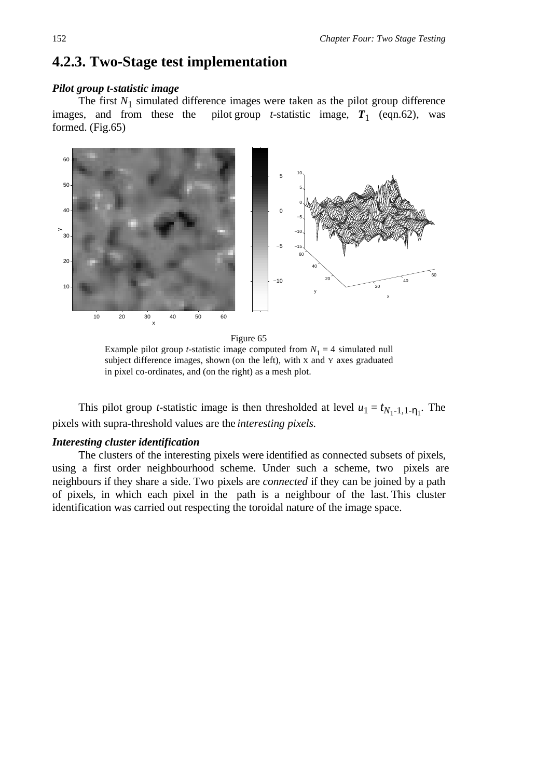# **4.2.3. Two-Stage test implementation**

### *Pilot group t-statistic image*

The first  $N_1$  simulated difference images were taken as the pilot group difference images, and from these the pilot group *t*-statistic image,  $T_1$  (eqn.62), was pilot group *t*-statistic image,  $T_1$  (eqn.62), was formed. (Fig.65)



Figure 65 Example pilot group *t*-statistic image computed from  $N_1 = 4$  simulated null subject difference images, shown (on the left), with X and Y axes graduated in pixel co-ordinates, and (on the right) as a mesh plot.

This pilot group *t*-statistic image is then thresholded at level  $u_1 = t_{N_1-1,1-\eta_1}$ . The pixels with supra-threshold values are the *interesting pixels*.

## *Interesting cluster identification*

The clusters of the interesting pixels were identified as connected subsets of pixels, using a first order neighbourhood scheme. Under such a scheme, two pixels are neighbours if they share a side. Two pixels are *connected* if they can be joined by a path of pixels, in which each pixel in the path is a neighbour of the last. This cluster identification was carried out respecting the toroidal nature of the image space.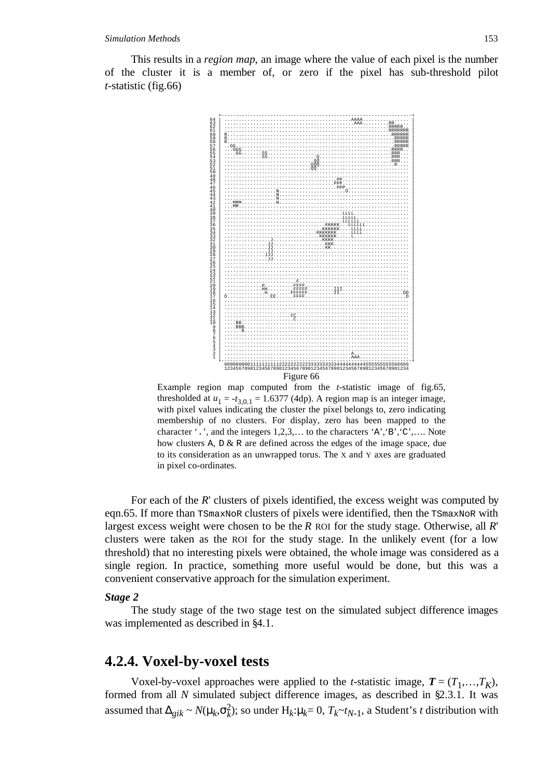#### *Simulation Methods* 153

This results in a *region map*, an image where the value of each pixel is the number of the cluster it is a member of, or zero if the pixel has sub-threshold pilot *t*-statistic (fig.66)



Example region map computed from the *t*-statistic image of fig.65, thresholded at  $u_1 = -t_{3,0,1} = 1.6377$  (4dp). A region map is an integer image, with pixel values indicating the cluster the pixel belongs to, zero indicating membership of no clusters. For display, zero has been mapped to the character '.', and the integers 1,2,3,… to the characters 'A','B','C',…. Note how clusters A,  $D \& R$  are defined across the edges of the image space, due to its consideration as an unwrapped torus. The X and Y axes are graduated in pixel co-ordinates.

For each of the *R*' clusters of pixels identified, the excess weight was computed by eqn.65. If more than TSmaxNoR clusters of pixels were identified, then the TSmaxNoR with largest excess weight were chosen to be the *R* ROI for the study stage. Otherwise, all *R*' clusters were taken as the ROI for the study stage. In the unlikely event (for a low threshold) that no interesting pixels were obtained, the whole image was considered as a single region. In practice, something more useful would be done, but this was a convenient conservative approach for the simulation experiment.

#### *Stage 2*

The study stage of the two stage test on the simulated subject difference images was implemented as described in §4.1.

# **4.2.4. Voxel-by-voxel tests**

Voxel-by-voxel approaches were applied to the *t*-statistic image,  $T = (T_1, \ldots, T_K)$ , formed from all *N* simulated subject difference images, as described in §2.3.1. It was assumed that  $\Delta_{gik} \sim N(\mu_k, \sigma_k^2)$ ; so under  $H_k: \mu_k = 0$ ,  $T_k \sim t_{N-1}$ , a Student's *t* distribution with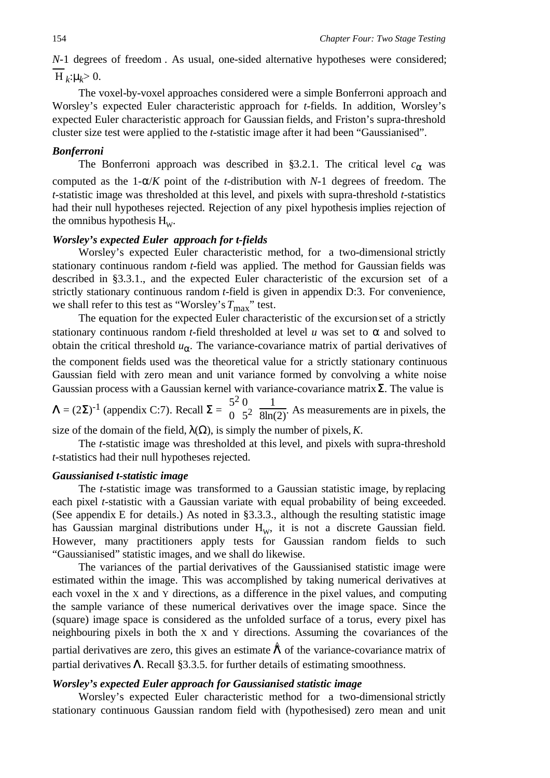*N*-1 degrees of freedom. As usual, one-sided alternative hypotheses were considered;  $H_k: \mu_k > 0.$ 

The voxel-by-voxel approaches considered were a simple Bonferroni approach and Worsley's expected Euler characteristic approach for *t*-fields. In addition, Worsley's expected Euler characteristic approach for Gaussian fields, and Friston's supra-threshold cluster size test were applied to the *t*-statistic image after it had been "Gaussianised".

#### *Bonferroni*

The Bonferroni approach was described in §3.2.1. The critical level  $c_{\alpha}$  was computed as the 1-α/*K* point of the *t*-distribution with *N*-1 degrees of freedom. The *t*-statistic image was thresholded at this level, and pixels with supra-threshold *t*-statistics had their null hypotheses rejected. Rejection of any pixel hypothesis implies rejection of the omnibus hypothesis  $H_w$ .

## *Worsley's expected Euler approach for t-fields*

Worsley's expected Euler characteristic method, for a two-dimensional strictly stationary continuous random *t*-field was applied. The method for Gaussian fields was described in §3.3.1., and the expected Euler characteristic of the excursion set of a strictly stationary continuous random *t*-field is given in appendix D:3. For convenience, we shall refer to this test as "Worsley's  $T_{\text{max}}$ " test.

The equation for the expected Euler characteristic of the excursion set of a strictly stationary continuous random *t*-field thresholded at level *u* was set to  $\alpha$  and solved to obtain the critical threshold  $u_{\alpha}$ . The variance-covariance matrix of partial derivatives of the component fields used was the theoretical value for a strictly stationary continuous Gaussian field with zero mean and unit variance formed by convolving a white noise Gaussian process with a Gaussian kernel with variance-covariance matrix  $\Sigma$ . The value is

 $\Lambda = (2\Sigma)^{-1}$  (appendix C:7). Recall  $\Sigma = \left( \begin{array}{c} 1 \end{array} \right)$  $\binom{5^2}{0}$ 1  $\frac{1}{8\ln(2)}$ . As measurements are in pixels, the

size of the domain of the field,  $\lambda(\Omega)$ , is simply the number of pixels, *K*.

The *t*-statistic image was thresholded at this level, and pixels with supra-threshold *t*-statistics had their null hypotheses rejected.

### *Gaussianised t-statistic image*

The *t*-statistic image was transformed to a Gaussian statistic image, by replacing each pixel *t*-statistic with a Gaussian variate with equal probability of being exceeded. (See appendix E for details.) As noted in §3.3.3., although the resulting statistic image has Gaussian marginal distributions under  $H<sub>w</sub>$ , it is not a discrete Gaussian field. However, many practitioners apply tests for Gaussian random fields to such "Gaussianised" statistic images, and we shall do likewise.

The variances of the partial derivatives of the Gaussianised statistic image were estimated within the image. This was accomplished by taking numerical derivatives at each voxel in the X and Y directions, as a difference in the pixel values, and computing the sample variance of these numerical derivatives over the image space. Since the (square) image space is considered as the unfolded surface of a torus, every pixel has neighbouring pixels in both the X and Y directions. Assuming the covariances of the

partial derivatives are zero, this gives an estimate  $\hat{\Lambda}$  of the variance-covariance matrix of partial derivatives  $\Lambda$ . Recall §3.3.5. for further details of estimating smoothness.

### *Worsley's expected Euler approach for Gaussianised statistic image*

Worsley's expected Euler characteristic method for a two-dimensional strictly stationary continuous Gaussian random field with (hypothesised) zero mean and unit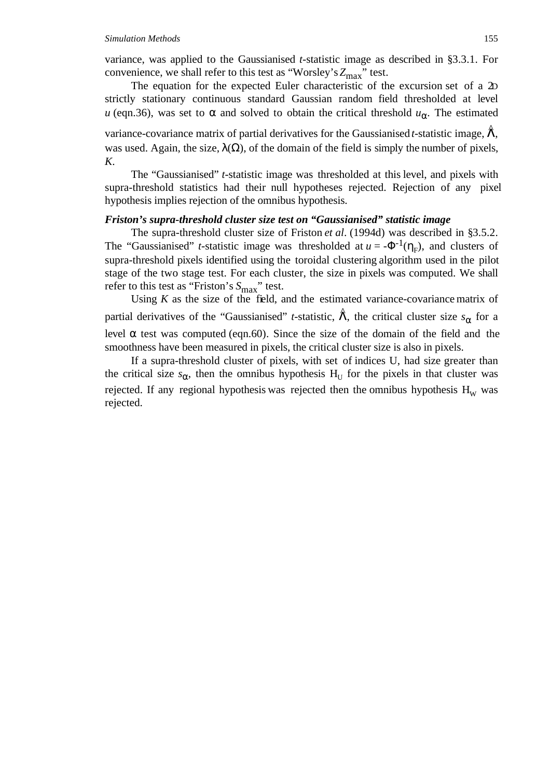#### *Simulation Methods* 155

variance, was applied to the Gaussianised *t*-statistic image as described in §3.3.1. For convenience, we shall refer to this test as "Worsley's  $Z_{\text{max}}$ " test.

The equation for the expected Euler characteristic of the excursion set of a 2D strictly stationary continuous standard Gaussian random field thresholded at level *u* (eqn.36), was set to  $\alpha$  and solved to obtain the critical threshold  $u_{\alpha}$ . The estimated

variance-covariance matrix of partial derivatives for the Gaussianised *t*-statistic image,  $\hat{\Lambda}$ , was used. Again, the size,  $\lambda(\Omega)$ , of the domain of the field is simply the number of pixels, *K*.

The "Gaussianised" *t*-statistic image was thresholded at this level, and pixels with supra-threshold statistics had their null hypotheses rejected. Rejection of any pixel hypothesis implies rejection of the omnibus hypothesis.

#### *Friston's supra-threshold cluster size test on "Gaussianised" statistic image*

The supra-threshold cluster size of Friston *et al*. (1994d) was described in §3.5.2. The "Gaussianised" *t*-statistic image was thresholded at  $u = -\Phi^{-1}(\eta_F)$ , and clusters of supra-threshold pixels identified using the toroidal clustering algorithm used in the pilot stage of the two stage test. For each cluster, the size in pixels was computed. We shall refer to this test as "Friston's  $S_{\text{max}}$ " test.

Using  $K$  as the size of the field, and the estimated variance-covariance matrix of partial derivatives of the "Gaussianised" *t*-statistic,  $\hat{\Lambda}$ , the critical cluster size  $s_{\alpha}$  for a level α test was computed (eqn.60). Since the size of the domain of the field and the smoothness have been measured in pixels, the critical cluster size is also in pixels.

If a supra-threshold cluster of pixels, with set of indices U, had size greater than the critical size  $s_{\alpha}$ , then the omnibus hypothesis H<sub>U</sub> for the pixels in that cluster was rejected. If any regional hypothesis was rejected then the omnibus hypothesis  $H_w$  was rejected.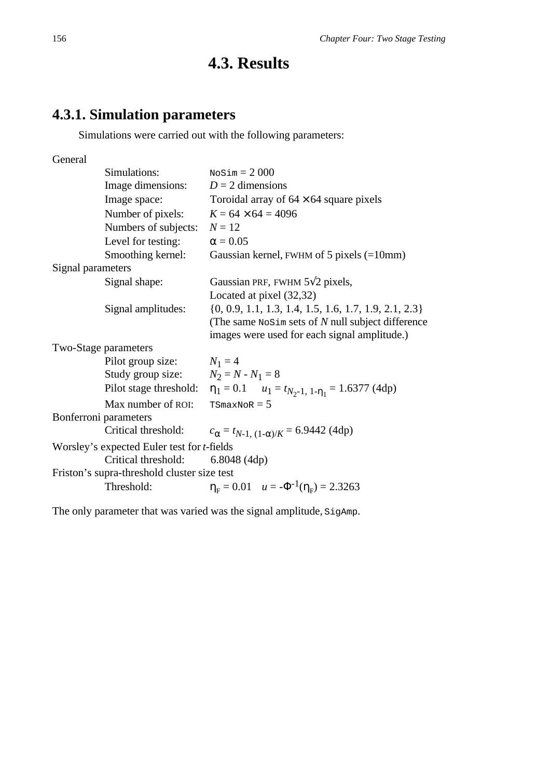# **4.3. Results**

# **4.3.1. Simulation parameters**

Simulations were carried out with the following parameters:

General

|                   | Simulations:                                       | $Nosim = 2000$                                                                   |
|-------------------|----------------------------------------------------|----------------------------------------------------------------------------------|
|                   | Image dimensions:                                  | $D = 2$ dimensions                                                               |
|                   | Image space:                                       | Toroidal array of $64 \times 64$ square pixels                                   |
|                   | Number of pixels:                                  | $K = 64 \times 64 = 4096$                                                        |
|                   | Numbers of subjects:                               | $N=12$                                                                           |
|                   | Level for testing:                                 | $\alpha = 0.05$                                                                  |
|                   | Smoothing kernel:                                  | Gaussian kernel, FWHM of 5 pixels $(=10$ mm)                                     |
| Signal parameters |                                                    |                                                                                  |
|                   | Signal shape:                                      | Gaussian PRF, FWHM 5 12 pixels,                                                  |
|                   |                                                    | Located at pixel (32,32)                                                         |
|                   | Signal amplitudes:                                 | $\{0, 0.9, 1.1, 1.3, 1.4, 1.5, 1.6, 1.7, 1.9, 2.1, 2.3\}$                        |
|                   |                                                    | (The same $N$ osim sets of N null subject difference                             |
|                   |                                                    | images were used for each signal amplitude.)                                     |
|                   | Two-Stage parameters                               |                                                                                  |
|                   | Pilot group size:                                  | $N_1 = 4$                                                                        |
|                   | Study group size: $N_2 = N - N_1 = 8$              |                                                                                  |
|                   |                                                    | Pilot stage threshold: $\eta_1 = 0.1$ $u_1 = t_{N_2-1, 1-\eta_1} = 1.6377$ (4dp) |
|                   | Max number of ROI:                                 | $TSmaxNoR = 5$                                                                   |
|                   | Bonferroni parameters                              |                                                                                  |
|                   | Critical threshold:                                | $c_{\alpha} = t_{N-1, (1-\alpha)/K} = 6.9442$ (4dp)                              |
|                   | Worsley's expected Euler test for <i>t</i> -fields |                                                                                  |
|                   | Critical threshold:                                | 6.8048(4dp)                                                                      |
|                   | Friston's supra-threshold cluster size test        |                                                                                  |
|                   | Threshold:                                         | $\eta_F = 0.01$ $u = -\Phi^{-1}(\eta_F) = 2.3263$                                |
|                   |                                                    |                                                                                  |

The only parameter that was varied was the signal amplitude, SigAmp.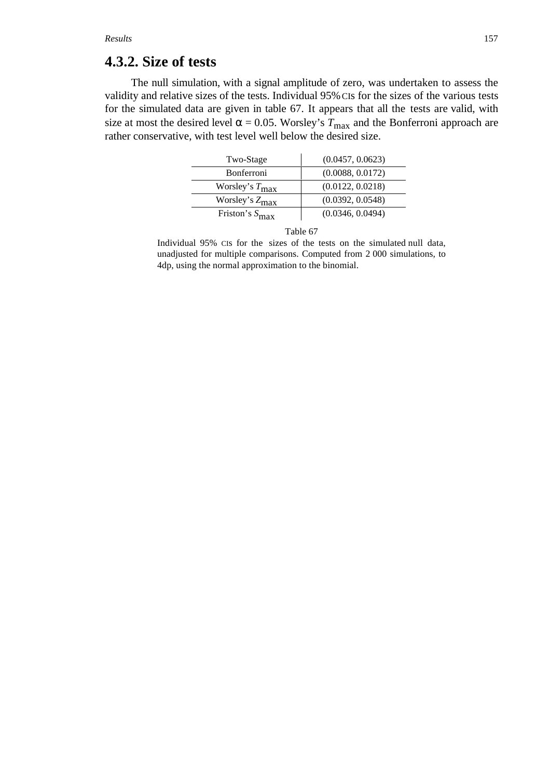# **4.3.2. Size of tests**

The null simulation, with a signal amplitude of zero, was undertaken to assess the validity and relative sizes of the tests. Individual 95% CIs for the sizes of the various tests for the simulated data are given in table 67. It appears that all the tests are valid, with size at most the desired level  $\alpha = 0.05$ . Worsley's  $T_{\text{max}}$  and the Bonferroni approach are rather conservative, with test level well below the desired size.

| Two-Stage                  | (0.0457, 0.0623) |
|----------------------------|------------------|
| <b>Bonferroni</b>          | (0.0088, 0.0172) |
| Worsley's $T_{\text{max}}$ | (0.0122, 0.0218) |
| Worsley's $Z_{\text{max}}$ | (0.0392, 0.0548) |
| Friston's $S_{\text{max}}$ | (0.0346, 0.0494) |



Individual 95% CIs for the sizes of the tests on the simulated null data, unadjusted for multiple comparisons. Computed from 2 000 simulations, to 4dp, using the normal approximation to the binomial.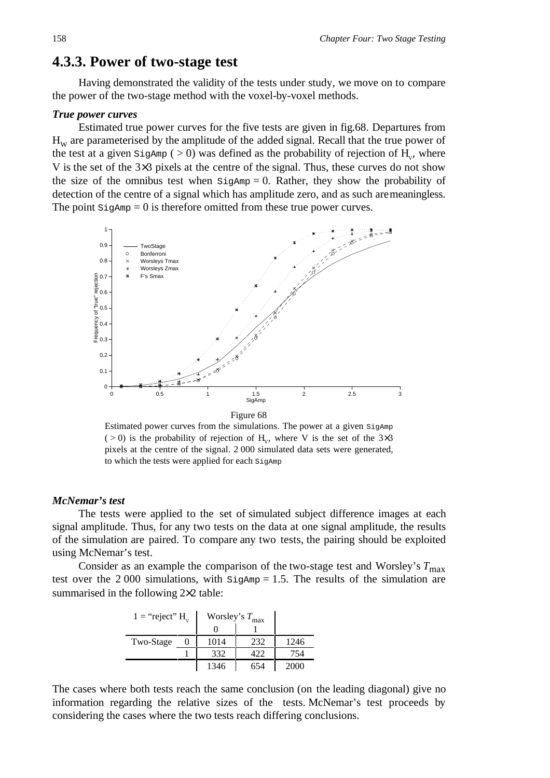# **4.3.3. Power of two-stage test**

Having demonstrated the validity of the tests under study, we move on to compare the power of the two-stage method with the voxel-by-voxel methods.

#### *True power curves*

Estimated true power curves for the five tests are given in fig.68. Departures from  $H<sub>w</sub>$  are parameterised by the amplitude of the added signal. Recall that the true power of the test at a given  $\text{Signmp}$  ( > 0) was defined as the probability of rejection of H<sub>y</sub>, where V is the set of the 3×3 pixels at the centre of the signal. Thus, these curves do not show the size of the omnibus test when  $\text{Signmp} = 0$ . Rather, they show the probability of detection of the centre of a signal which has amplitude zero, and as such are meaningless. The point  $\text{SigAmp} = 0$  is therefore omitted from these true power curves.



Estimated power curves from the simulations. The power at a given SigAmp ( $> 0$ ) is the probability of rejection of H<sub>v</sub>, where V is the set of the 3×3 pixels at the centre of the signal. 2 000 simulated data sets were generated, to which the tests were applied for each SigAmp

#### *McNemar's test*

The tests were applied to the set of simulated subject difference images at each signal amplitude. Thus, for any two tests on the data at one signal amplitude, the results of the simulation are paired. To compare any two tests, the pairing should be exploited using McNemar's test.

Consider as an example the comparison of the two-stage test and Worsley's  $T_{\text{max}}$ test over the  $2000$  simulations, with  $\text{SigAmp} = 1.5$ . The results of the simulation are summarised in the following 2×2 table:

| $1 = "reject" H$ |  | Worsley's $T_{\text{max}}$ |     |      |
|------------------|--|----------------------------|-----|------|
|                  |  |                            |     |      |
| Two-Stage        |  | 1014                       | 232 | 1246 |
|                  |  | 332                        | 422 | 754  |
|                  |  | 1346                       | 654 | 2000 |

The cases where both tests reach the same conclusion (on the leading diagonal) give no information regarding the relative sizes of the tests. McNemar's test proceeds by considering the cases where the two tests reach differing conclusions.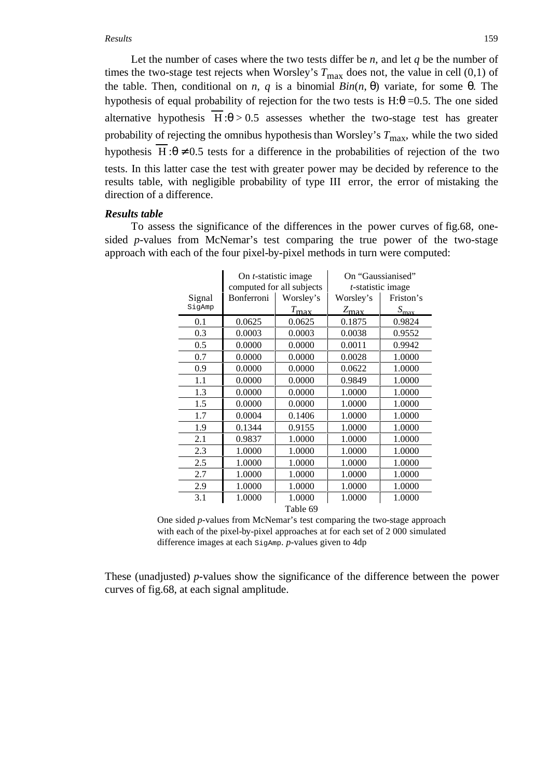#### *Results* 159

Let the number of cases where the two tests differ be  $n$ , and let  $q$  be the number of times the two-stage test rejects when Worsley's  $T_{\text{max}}$  does not, the value in cell (0,1) of the table. Then, conditional on *n*, *q* is a binomial  $Bin(n, θ)$  variate, for some θ. The hypothesis of equal probability of rejection for the two tests is  $H:\theta = 0.5$ . The one sided alternative hypothesis  $H : \theta > 0.5$  assesses whether the two-stage test has greater probability of rejecting the omnibus hypothesis than Worsley's  $T_{\text{max}}$ , while the two sided hypothesis H: $\theta \neq 0.5$  tests for a difference in the probabilities of rejection of the two tests. In this latter case the test with greater power may be decided by reference to the results table, with negligible probability of type III error, the error of mistaking the direction of a difference.

#### *Results table*

To assess the significance of the differences in the power curves of fig.68, onesided *p*-values from McNemar's test comparing the true power of the two-stage approach with each of the four pixel-by-pixel methods in turn were computed:

|          | On <i>t</i> -statistic image |               | On "Gaussianised"         |                            |  |
|----------|------------------------------|---------------|---------------------------|----------------------------|--|
|          | computed for all subjects    |               | <i>t</i> -statistic image |                            |  |
| Signal   | Bonferroni                   | Worsley's     | Worsley's                 | Friston's                  |  |
| SigAmp   |                              | $T_{\rm max}$ | $Z_{\rm max}$             | $S_{\hbox{\small\bf max}}$ |  |
| 0.1      | 0.0625                       | 0.0625        | 0.1875                    | 0.9824                     |  |
| 0.3      | 0.0003                       | 0.0003        | 0.0038                    | 0.9552                     |  |
| 0.5      | 0.0000                       | 0.0000        | 0.0011                    | 0.9942                     |  |
| 0.7      | 0.0000                       | 0.0000        | 0.0028                    | 1.0000                     |  |
| 0.9      | 0.0000                       | 0.0000        | 0.0622                    | 1.0000                     |  |
| 1.1      | 0.0000                       | 0.0000        | 0.9849                    | 1.0000                     |  |
| 1.3      | 0.0000                       | 0.0000        | 1.0000                    | 1.0000                     |  |
| 1.5      | 0.0000                       | 0.0000        | 1.0000                    | 1.0000                     |  |
| 1.7      | 0.0004                       | 0.1406        | 1.0000                    | 1.0000                     |  |
| 1.9      | 0.1344                       | 0.9155        | 1.0000                    | 1.0000                     |  |
| 2.1      | 0.9837                       | 1.0000        | 1.0000                    | 1.0000                     |  |
| 2.3      | 1.0000                       | 1.0000        | 1.0000                    | 1.0000                     |  |
| 2.5      | 1.0000                       | 1.0000        | 1.0000                    | 1.0000                     |  |
| 2.7      | 1.0000                       | 1.0000        | 1.0000                    | 1.0000                     |  |
| 2.9      | 1.0000                       | 1.0000        | 1.0000                    | 1.0000                     |  |
| 3.1      | 1.0000                       | 1.0000        | 1.0000                    | 1.0000                     |  |
| Table 69 |                              |               |                           |                            |  |

One sided *p*-values from McNemar's test comparing the two-stage approach with each of the pixel-by-pixel approaches at for each set of 2 000 simulated difference images at each SigAmp. *p*-values given to 4dp

These (unadjusted) *p*-values show the significance of the difference between the power curves of fig.68, at each signal amplitude.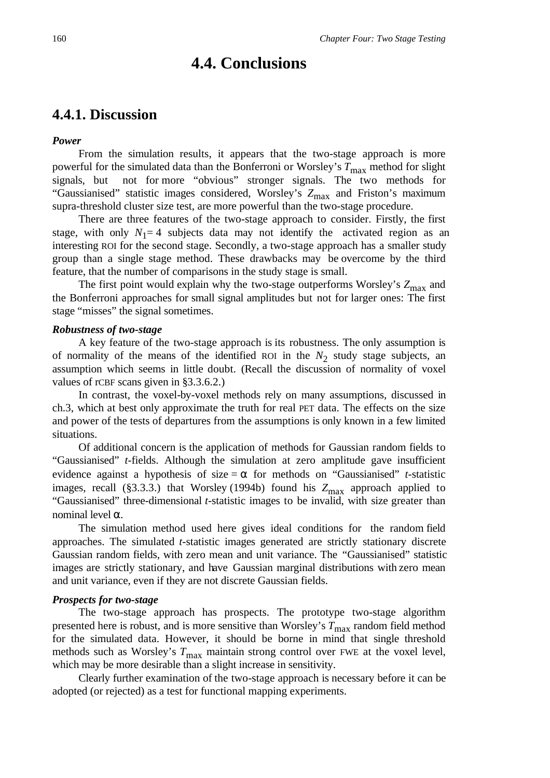# **4.4. Conclusions**

# **4.4.1. Discussion**

#### *Power*

From the simulation results, it appears that the two-stage approach is more powerful for the simulated data than the Bonferroni or Worsley's  $T_{\text{max}}$  method for slight signals, but not for more "obvious" stronger signals. The two methods for "Gaussianised" statistic images considered, Worsley's Z<sub>max</sub> and Friston's maximum supra-threshold cluster size test, are more powerful than the two-stage procedure.

There are three features of the two-stage approach to consider. Firstly, the first stage, with only  $N_1=4$  subjects data may not identify the activated region as an interesting ROI for the second stage. Secondly, a two-stage approach has a smaller study group than a single stage method. These drawbacks may be overcome by the third feature, that the number of comparisons in the study stage is small.

The first point would explain why the two-stage outperforms Worsley's Z<sub>max</sub> and the Bonferroni approaches for small signal amplitudes but not for larger ones: The first stage "misses" the signal sometimes.

### *Robustness of two-stage*

A key feature of the two-stage approach is its robustness. The only assumption is of normality of the means of the identified ROI in the  $N_2$  study stage subjects, an assumption which seems in little doubt. (Recall the discussion of normality of voxel values of rCBF scans given in §3.3.6.2.)

In contrast, the voxel-by-voxel methods rely on many assumptions, discussed in ch.3, which at best only approximate the truth for real PET data. The effects on the size and power of the tests of departures from the assumptions is only known in a few limited situations.

Of additional concern is the application of methods for Gaussian random fields to "Gaussianised" *t*-fields. Although the simulation at zero amplitude gave insufficient evidence against a hypothesis of size  $=\alpha$  for methods on "Gaussianised" *t*-statistic images, recall (§3.3.3.) that Worsley (1994b) found his  $Z_{\text{max}}$  approach applied to "Gaussianised" three-dimensional *t*-statistic images to be invalid, with size greater than nominal level α.

The simulation method used here gives ideal conditions for the random field approaches. The simulated *t*-statistic images generated are strictly stationary discrete Gaussian random fields, with zero mean and unit variance. The "Gaussianised" statistic images are strictly stationary, and have Gaussian marginal distributions with zero mean and unit variance, even if they are not discrete Gaussian fields.

#### *Prospects for two-stage*

The two-stage approach has prospects. The prototype two-stage algorithm presented here is robust, and is more sensitive than Worsley's  $T_{\text{max}}$  random field method for the simulated data. However, it should be borne in mind that single threshold methods such as Worsley's  $T_{\text{max}}$  maintain strong control over FWE at the voxel level, which may be more desirable than a slight increase in sensitivity.

Clearly further examination of the two-stage approach is necessary before it can be adopted (or rejected) as a test for functional mapping experiments.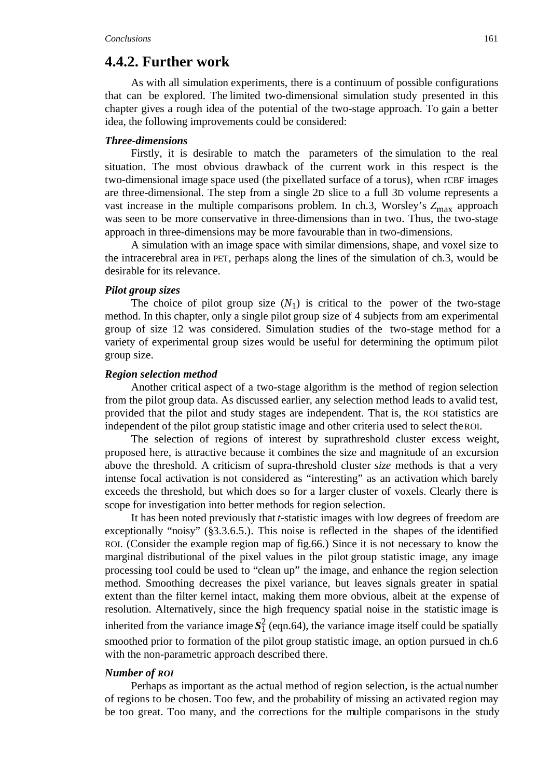# **4.4.2. Further work**

As with all simulation experiments, there is a continuum of possible configurations that can be explored. The limited two-dimensional simulation study presented in this chapter gives a rough idea of the potential of the two-stage approach. To gain a better idea, the following improvements could be considered:

#### *Three-dimensions*

Firstly, it is desirable to match the parameters of the simulation to the real situation. The most obvious drawback of the current work in this respect is the two-dimensional image space used (the pixellated surface of a torus), when rCBF images are three-dimensional. The step from a single 2D slice to a full 3D volume represents a vast increase in the multiple comparisons problem. In ch.3, Worsley's  $Z_{\text{max}}$  approach was seen to be more conservative in three-dimensions than in two. Thus, the two-stage approach in three-dimensions may be more favourable than in two-dimensions.

A simulation with an image space with similar dimensions, shape, and voxel size to the intracerebral area in PET, perhaps along the lines of the simulation of ch.3, would be desirable for its relevance.

#### *Pilot group sizes*

The choice of pilot group size  $(N_1)$  is critical to the power of the two-stage method. In this chapter, only a single pilot group size of 4 subjects from am experimental group of size 12 was considered. Simulation studies of the two-stage method for a variety of experimental group sizes would be useful for determining the optimum pilot group size.

#### *Region selection method*

Another critical aspect of a two-stage algorithm is the method of region selection from the pilot group data. As discussed earlier, any selection method leads to a valid test, provided that the pilot and study stages are independent. That is, the ROI statistics are independent of the pilot group statistic image and other criteria used to select the ROI.

The selection of regions of interest by suprathreshold cluster excess weight, proposed here, is attractive because it combines the size and magnitude of an excursion above the threshold. A criticism of supra-threshold cluster *size* methods is that a very intense focal activation is not considered as "interesting" as an activation which barely exceeds the threshold, but which does so for a larger cluster of voxels. Clearly there is scope for investigation into better methods for region selection.

It has been noted previously that *t*-statistic images with low degrees of freedom are exceptionally "noisy" (§3.3.6.5.). This noise is reflected in the shapes of the identified ROI. (Consider the example region map of fig.66.) Since it is not necessary to know the marginal distributional of the pixel values in the pilot group statistic image, any image processing tool could be used to "clean up" the image, and enhance the region selection method. Smoothing decreases the pixel variance, but leaves signals greater in spatial extent than the filter kernel intact, making them more obvious, albeit at the expense of resolution. Alternatively, since the high frequency spatial noise in the statistic image is inherited from the variance image  $S_1^2$  (eqn.64), the variance image itself could be spatially smoothed prior to formation of the pilot group statistic image, an option pursued in ch.6 with the non-parametric approach described there.

#### *Number of ROI*

Perhaps as important as the actual method of region selection, is the actual number of regions to be chosen. Too few, and the probability of missing an activated region may be too great. Too many, and the corrections for the multiple comparisons in the study